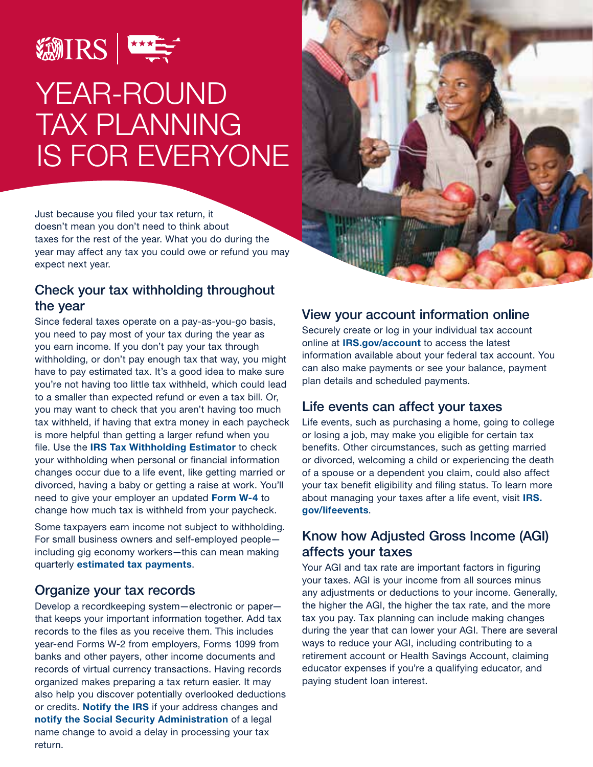

# YEAR-ROUND TAX PLANNING IS FOR EVERYONE

Just because you filed your tax return, it doesn't mean you don't need to think about taxes for the rest of the year. What you do during the year may affect any tax you could owe or refund you may expect next year.

#### Check your tax withholding throughout the year

Since federal taxes operate on a pay-as-you-go basis, you need to pay most of your tax during the year as you earn income. If you don't pay your tax through withholding, or don't pay enough tax that way, you might have to pay estimated tax. It's a good idea to make sure you're not having too little tax withheld, which could lead to a smaller than expected refund or even a tax bill. Or, you may want to check that you aren't having too much tax withheld, if having that extra money in each paycheck is more helpful than getting a larger refund when you file. Use the **[IRS Tax Withholding Estimator](https://www.irs.gov/individuals/tax-withholding-estimator)** to check your withholding when personal or financial information changes occur due to a life event, like getting married or divorced, having a baby or getting a raise at work. You'll need to give your employer an updated Form W-4 to change how much tax is withheld from your paycheck.

Some taxpayers earn income not subject to withholding. For small business owners and self-employed people including gig economy workers—this can mean making quarterly [estimated tax payments](https://www.irs.gov/payasyougo).

# Organize your tax records

Develop a recordkeeping system—electronic or paper that keeps your important information together. Add tax records to the files as you receive them. This includes year-end Forms W-2 from employers, Forms 1099 from banks and other payers, other income documents and records of virtual currency transactions. Having records organized makes preparing a tax return easier. It may also help you discover potentially overlooked deductions or credits. Notify the IRS if your address changes and notify the Social Security Administration of a legal name change to avoid a delay in processing your tax return.



#### View your account information online

Securely create or log in your individual tax account online at **[IRS.gov/account](https://www.irs.gov/account)** to access the latest information available about your federal tax account. You can also make payments or see your balance, payment plan details and scheduled payments.

# Life events can affect your taxes

Life events, such as purchasing a home, going to college or losing a job, may make you eligible for certain tax benefits. Other circumstances, such as getting married or divorced, welcoming a child or experiencing the death of a spouse or a dependent you claim, could also affect your tax benefit eligibility and filing status. To learn more about managing your taxes after a life event, visit [IRS.](https://www.irs.gov/lifeevents) [gov/lifeevents](https://www.irs.gov/lifeevents).

# Know how Adjusted Gross Income (AGI) affects your taxes

Your AGI and tax rate are important factors in figuring your taxes. AGI is your income from all sources minus any adjustments or deductions to your income. Generally, the higher the AGI, the higher the tax rate, and the more tax you pay. Tax planning can include making changes during the year that can lower your AGI. There are several ways to reduce your AGI, including contributing to a retirement account or Health Savings Account, claiming educator expenses if you're a qualifying educator, and paying student loan interest.